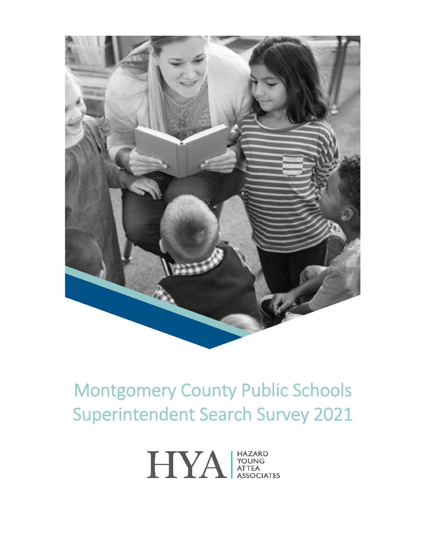

# Montgomery County Public Schools Superintendent Search Survey 2021

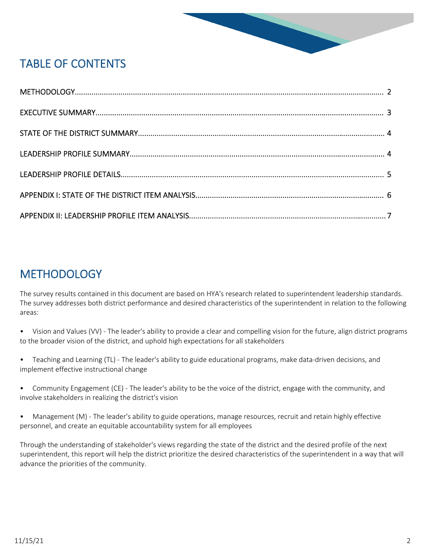

# TABLE OF CONTENTS

### **METHODOLOGY**

The survey results contained in this document are based on HYA's research related to superintendent leadership standards. The survey addresses both district performance and desired characteristics of the superintendent in relation to the following areas:

- Vision and Values (VV) The leader's ability to provide a clear and compelling vision for the future, align district programs to the broader vision of the district, and uphold high expectations for all stakeholders
- Teaching and Learning (TL) The leader's ability to guide educational programs, make data-driven decisions, and implement effective instructional change
- Community Engagement (CE) The leader's ability to be the voice of the district, engage with the community, and involve stakeholders in realizing the district's vision
- Management (M) The leader's ability to guide operations, manage resources, recruit and retain highly effective personnel, and create an equitable accountability system for all employees

Through the understanding of stakeholder's views regarding the state of the district and the desired profile of the next superintendent, this report will help the district prioritize the desired characteristics of the superintendent in a way that will advance the priorities of the community.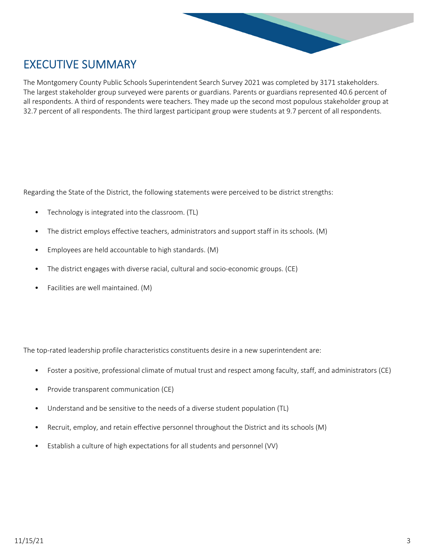

### EXECUTIVE SUMMARY

The Montgomery County Public Schools Superintendent Search Survey 2021 was completed by 3171 stakeholders. The largest stakeholder group surveyed were parents or guardians. Parents or guardians represented 40.6 percent of all respondents. A third of respondents were teachers. They made up the second most populous stakeholder group at 32.7 percent of all respondents. The third largest participant group were students at 9.7 percent of all respondents.

Regarding the State of the District, the following statements were perceived to be district strengths:

- Technology is integrated into the classroom. (TL)
- The district employs effective teachers, administrators and support staff in its schools. (M)
- Employees are held accountable to high standards. (M)
- The district engages with diverse racial, cultural and socio-economic groups. (CE)
- Facilities are well maintained. (M)

The top-rated leadership profile characteristics constituents desire in a new superintendent are:

- Foster a positive, professional climate of mutual trust and respect among faculty, staff, and administrators (CE)
- Provide transparent communication (CE)
- Understand and be sensitive to the needs of a diverse student population (TL)
- Recruit, employ, and retain effective personnel throughout the District and its schools (M)
- Establish a culture of high expectations for all students and personnel (VV)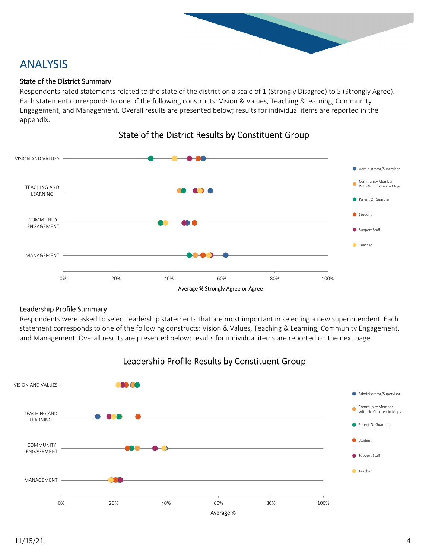

# ANALYSIS

#### State of the District Summary

Respondents rated statements related to the state of the district on a scale of 1 (Strongly Disagree) to 5 (Strongly Agree). Each statement corresponds to one of the following constructs: Vision & Values, Teaching &Learning, Community Engagement, and Management. Overall results are presented below; results for individual items are reported in the appendix.



#### State of the District Results by Constituent Group

#### Leadership Profile Summary

Respondents were asked to select leadership statements that are most important in selecting a new superintendent. Each statement corresponds to one of the following constructs: Vision & Values, Teaching & Learning, Community Engagement, and Management. Overall results are presented below; results for individual items are reported on the next page.



#### Leadership Profile Results by Constituent Group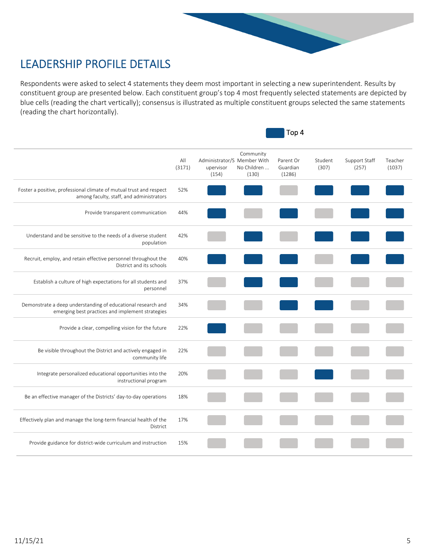

## LEADERSHIP PROFILE DETAILS

Respondents were asked to select 4 statements they deem most important in selecting a new superintendent. Results by constituent group are presented below. Each constituent group's top 4 most frequently selected statements are depicted by blue cells (reading the chart vertically); consensus is illustrated as multiple constituent groups selected the same statements (reading the chart horizontally).

|                                                                                                                  | Top 4         |                                                   |                                   |                                 |                  |                        |                   |
|------------------------------------------------------------------------------------------------------------------|---------------|---------------------------------------------------|-----------------------------------|---------------------------------|------------------|------------------------|-------------------|
|                                                                                                                  | All<br>(3171) | Administrator/S Member With<br>upervisor<br>(154) | Community<br>No Children<br>(130) | Parent Or<br>Guardian<br>(1286) | Student<br>(307) | Support Staff<br>(257) | Teacher<br>(1037) |
| Foster a positive, professional climate of mutual trust and respect<br>among faculty, staff, and administrators  | 52%           |                                                   |                                   |                                 |                  |                        |                   |
| Provide transparent communication                                                                                | 44%           |                                                   |                                   |                                 |                  |                        |                   |
| Understand and be sensitive to the needs of a diverse student<br>population                                      | 42%           |                                                   |                                   |                                 |                  |                        |                   |
| Recruit, employ, and retain effective personnel throughout the<br>District and its schools                       | 40%           |                                                   |                                   |                                 |                  |                        |                   |
| Establish a culture of high expectations for all students and<br>personnel                                       | 37%           |                                                   |                                   |                                 |                  |                        |                   |
| Demonstrate a deep understanding of educational research and<br>emerging best practices and implement strategies | 34%           |                                                   |                                   |                                 |                  |                        |                   |
| Provide a clear, compelling vision for the future                                                                | 22%           |                                                   |                                   |                                 |                  |                        |                   |
| Be visible throughout the District and actively engaged in<br>community life                                     | 22%           |                                                   |                                   |                                 |                  |                        |                   |
| Integrate personalized educational opportunities into the<br>instructional program                               | 20%           |                                                   |                                   |                                 |                  |                        |                   |
| Be an effective manager of the Districts' day-to-day operations                                                  | 18%           |                                                   |                                   |                                 |                  |                        |                   |
| Effectively plan and manage the long-term financial health of the<br>District                                    | 17%           |                                                   |                                   |                                 |                  |                        |                   |
| Provide guidance for district-wide curriculum and instruction                                                    | 15%           |                                                   |                                   |                                 |                  |                        |                   |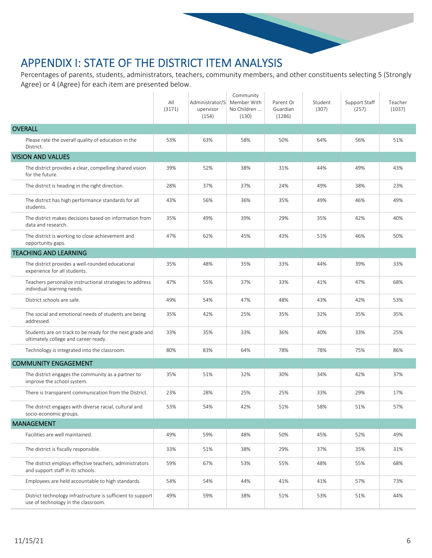### APPENDIX I: STATE OF THE DISTRICT ITEM ANALYSIS

Percentages of parents, students, administrators, teachers, community members, and other constituents selecting 5 (Strongly Agree) or 4 (Agree) for each item are presented below.

|                                                                                                    | All<br>(3171) | Administrator/S<br>upervisor<br>(154) | Community<br>Member With<br>No Children<br>(130) | Parent Or<br>Guardian<br>(1286) | Student<br>(307) | Support Staff<br>(257) | Teacher<br>(1037) |
|----------------------------------------------------------------------------------------------------|---------------|---------------------------------------|--------------------------------------------------|---------------------------------|------------------|------------------------|-------------------|
| <b>OVERALL</b>                                                                                     |               |                                       |                                                  |                                 |                  |                        |                   |
| Please rate the overall quality of education in the<br>District.                                   | 53%           | 63%                                   | 58%                                              | 50%                             | 64%              | 56%                    | 51%               |
| <b>VISION AND VALUES</b>                                                                           |               |                                       |                                                  |                                 |                  |                        |                   |
| The district provides a clear, compelling shared vision<br>for the future.                         | 39%           | 52%                                   | 38%                                              | 31%                             | 44%              | 49%                    | 43%               |
| The district is heading in the right direction.                                                    | 28%           | 37%                                   | 37%                                              | 24%                             | 49%              | 38%                    | 23%               |
| The district has high performance standards for all<br>students.                                   | 43%           | 56%                                   | 36%                                              | 35%                             | 49%              | 46%                    | 49%               |
| The district makes decisions based on information from<br>data and research.                       | 35%           | 49%                                   | 39%                                              | 29%                             | 35%              | 42%                    | 40%               |
| The district is working to close achievement and<br>opportunity gaps.                              | 47%           | 62%                                   | 45%                                              | 43%                             | 51%              | 46%                    | 50%               |
| <b>TEACHING AND LEARNING</b>                                                                       |               |                                       |                                                  |                                 |                  |                        |                   |
| The district provides a well-rounded educational<br>experience for all students.                   | 35%           | 48%                                   | 35%                                              | 33%                             | 44%              | 39%                    | 33%               |
| Teachers personalize instructional strategies to address<br>individual learning needs.             | 47%           | 55%                                   | 37%                                              | 33%                             | 41%              | 47%                    | 68%               |
| District schools are safe.                                                                         | 49%           | 54%                                   | 47%                                              | 48%                             | 43%              | 42%                    | 53%               |
| The social and emotional needs of students are being<br>addressed.                                 | 35%           | 42%                                   | 25%                                              | 35%                             | 32%              | 35%                    | 35%               |
| Students are on track to be ready for the next grade and<br>ultimately college and career ready.   | 33%           | 35%                                   | 33%                                              | 36%                             | 40%              | 33%                    | 25%               |
| Technology is integrated into the classroom.                                                       | 80%           | 83%                                   | 64%                                              | 78%                             | 78%              | 75%                    | 86%               |
| <b>COMMUNITY ENGAGEMENT</b>                                                                        |               |                                       |                                                  |                                 |                  |                        |                   |
| The district engages the community as a partner to<br>improve the school system.                   | 35%           | 51%                                   | 32%                                              | 30%                             | 34%              | 42%                    | 37%               |
| There is transparent communication from the District.                                              | 23%           | 28%                                   | 25%                                              | 25%                             | 33%              | 29%                    | 17%               |
| The district engages with diverse racial, cultural and<br>socio-economic groups.                   | 53%           | 54%                                   | 42%                                              | 51%                             | 58%              | 51%                    | 57%               |
| <b>MANAGEMENT</b>                                                                                  |               |                                       |                                                  |                                 |                  |                        |                   |
| Facilities are well maintained.                                                                    | 49%           | 59%                                   | 48%                                              | 50%                             | 45%              | 52%                    | 49%               |
| The district is fiscally responsible.                                                              | 33%           | 51%                                   | 38%                                              | 29%                             | 37%              | 35%                    | 31%               |
| The district employs effective teachers, administrators<br>and support staff in its schools.       | 59%           | 67%                                   | 53%                                              | 55%                             | 48%              | 55%                    | 68%               |
| Employees are held accountable to high standards.                                                  | 54%           | 54%                                   | 44%                                              | 41%                             | 41%              | 57%                    | 73%               |
| District technology infrastructure is sufficient to support<br>use of technology in the classroom. | 49%           | 59%                                   | 38%                                              | 51%                             | 53%              | 51%                    | 44%               |